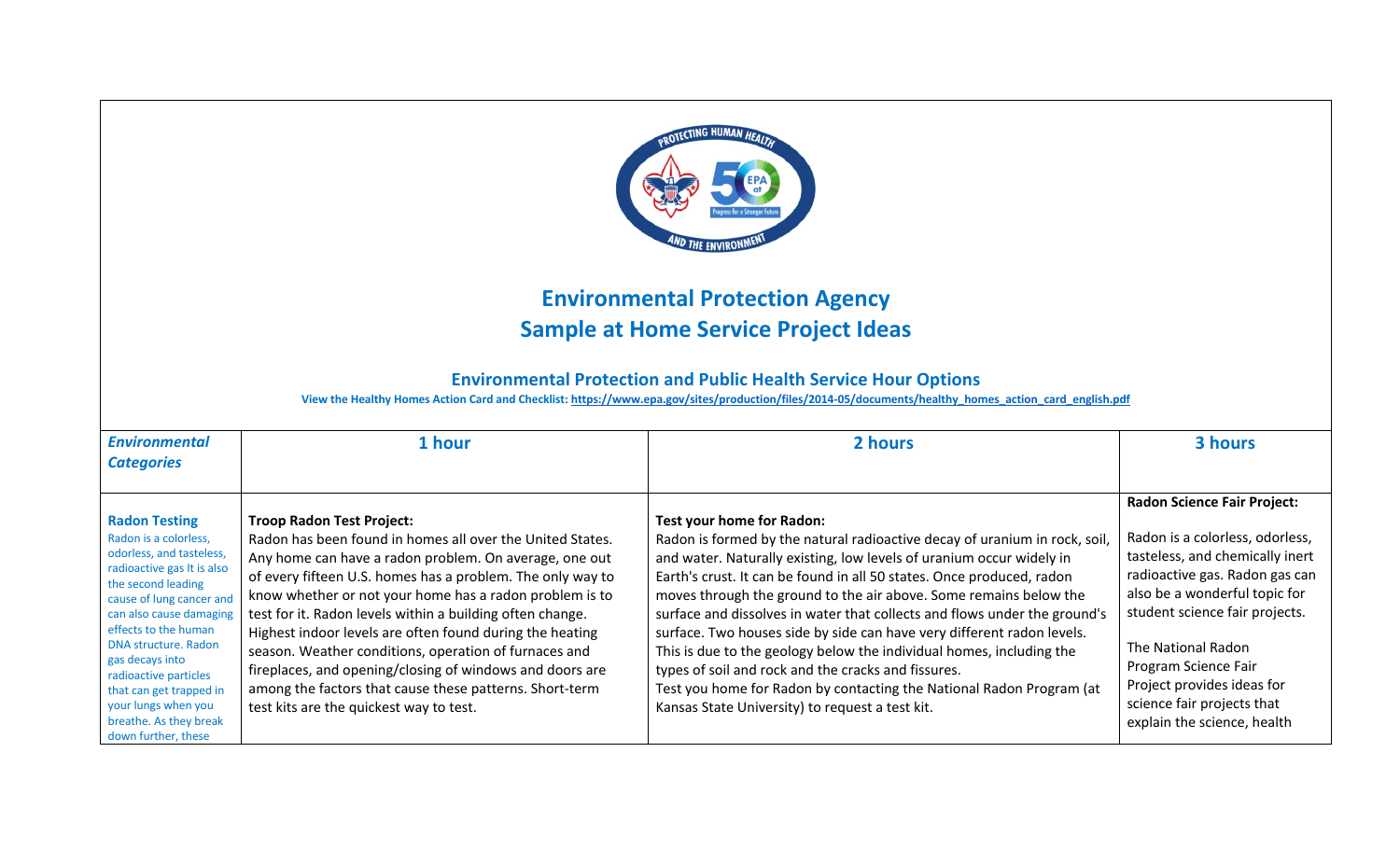

## **Environmental Protection Agency Sample at Home Service Project Ideas**

## **Environmental Protection and Public Health Service Hour Options**

**View the Healthy Homes Action Card and Checklist: https://www.epa.gov/sites/production/files/2014-05/documents/healthy\_homes\_action\_card\_english.pdf**

| <b>Environmental</b>                                                                                                                                                                                                                                                             | 1 hour                                                                                                                                                                                                                                                                                                                                                                                                                                                                                                                                                                                    | 2 hours                                                                                                                                                                                                                                                                                                                                                                                                                                                                                                                                                                                                                                                                                     | 3 hours                                                                                                                                                                                                                                                                                   |
|----------------------------------------------------------------------------------------------------------------------------------------------------------------------------------------------------------------------------------------------------------------------------------|-------------------------------------------------------------------------------------------------------------------------------------------------------------------------------------------------------------------------------------------------------------------------------------------------------------------------------------------------------------------------------------------------------------------------------------------------------------------------------------------------------------------------------------------------------------------------------------------|---------------------------------------------------------------------------------------------------------------------------------------------------------------------------------------------------------------------------------------------------------------------------------------------------------------------------------------------------------------------------------------------------------------------------------------------------------------------------------------------------------------------------------------------------------------------------------------------------------------------------------------------------------------------------------------------|-------------------------------------------------------------------------------------------------------------------------------------------------------------------------------------------------------------------------------------------------------------------------------------------|
| <b>Categories</b>                                                                                                                                                                                                                                                                |                                                                                                                                                                                                                                                                                                                                                                                                                                                                                                                                                                                           |                                                                                                                                                                                                                                                                                                                                                                                                                                                                                                                                                                                                                                                                                             |                                                                                                                                                                                                                                                                                           |
| <b>Radon Testing</b><br>Radon is a colorless,<br>odorless, and tasteless,<br>radioactive gas It is also<br>the second leading<br>cause of lung cancer and<br>can also cause damaging<br>effects to the human<br>DNA structure. Radon<br>gas decays into<br>radioactive particles | <b>Troop Radon Test Project:</b><br>Radon has been found in homes all over the United States.<br>Any home can have a radon problem. On average, one out<br>of every fifteen U.S. homes has a problem. The only way to<br>know whether or not your home has a radon problem is to<br>test for it. Radon levels within a building often change.<br>Highest indoor levels are often found during the heating<br>season. Weather conditions, operation of furnaces and<br>fireplaces, and opening/closing of windows and doors are<br>among the factors that cause these patterns. Short-term | Test your home for Radon:<br>Radon is formed by the natural radioactive decay of uranium in rock, soil,<br>and water. Naturally existing, low levels of uranium occur widely in<br>Earth's crust. It can be found in all 50 states. Once produced, radon<br>moves through the ground to the air above. Some remains below the<br>surface and dissolves in water that collects and flows under the ground's<br>surface. Two houses side by side can have very different radon levels.<br>This is due to the geology below the individual homes, including the<br>types of soil and rock and the cracks and fissures.<br>Test you home for Radon by contacting the National Radon Program (at | <b>Radon Science Fair Project:</b><br>Radon is a colorless, odorless,<br>tasteless, and chemically inert<br>radioactive gas. Radon gas can<br>also be a wonderful topic for<br>student science fair projects.<br>The National Radon<br>Program Science Fair<br>Project provides ideas for |
| that can get trapped in<br>your lungs when you<br>breathe. As they break<br>down further, these                                                                                                                                                                                  | test kits are the quickest way to test.                                                                                                                                                                                                                                                                                                                                                                                                                                                                                                                                                   | Kansas State University) to request a test kit.                                                                                                                                                                                                                                                                                                                                                                                                                                                                                                                                                                                                                                             | science fair projects that<br>explain the science, health                                                                                                                                                                                                                                 |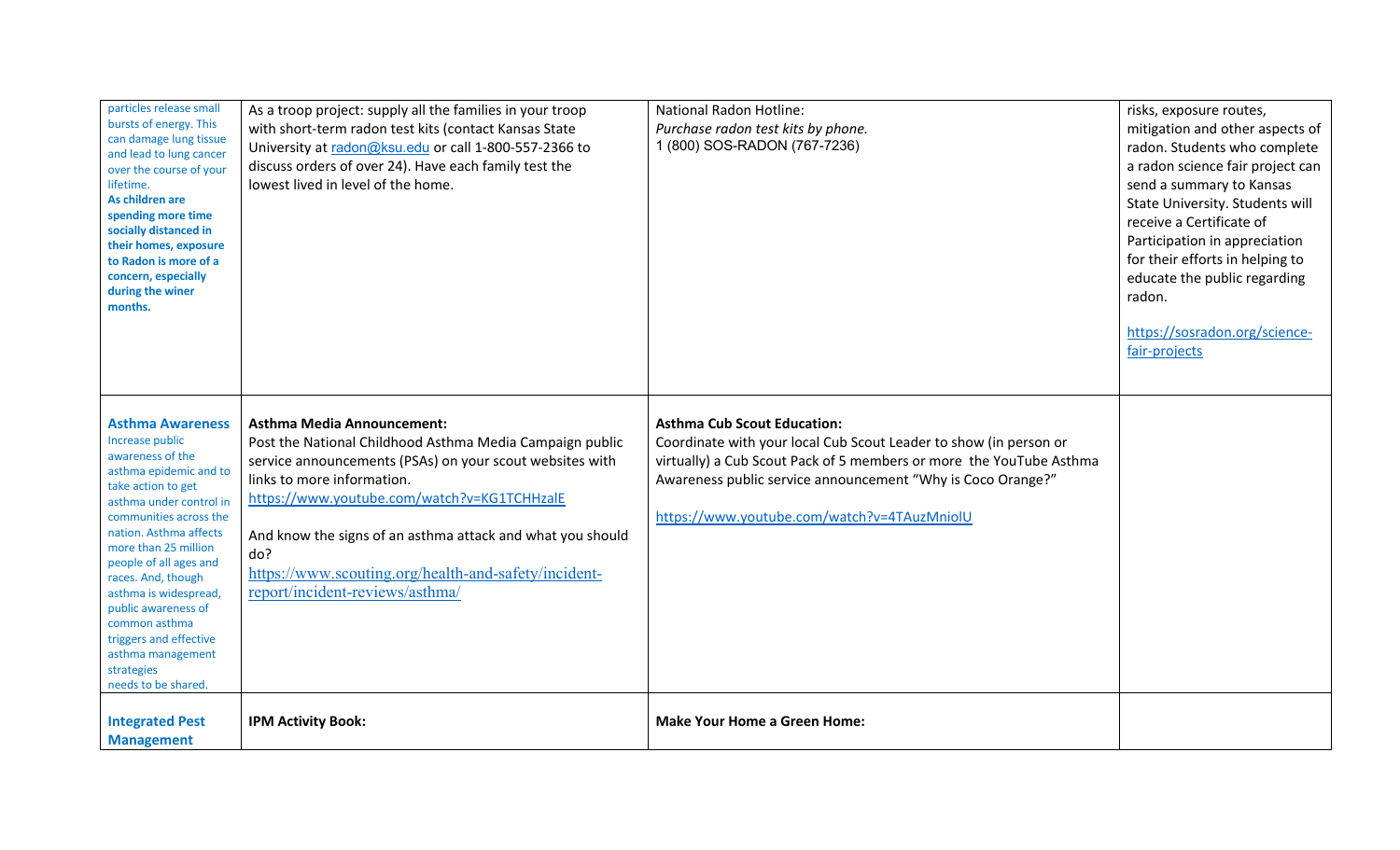| particles release small<br>bursts of energy. This<br>can damage lung tissue<br>and lead to lung cancer<br>over the course of your<br>lifetime.<br>As children are<br>spending more time<br>socially distanced in<br>their homes, exposure<br>to Radon is more of a<br>concern, especially<br>during the winer<br>months.                                                                                                   | As a troop project: supply all the families in your troop<br>with short-term radon test kits (contact Kansas State<br>University at radon@ksu.edu or call 1-800-557-2366 to<br>discuss orders of over 24). Have each family test the<br>lowest lived in level of the home.                                                                                                                             | <b>National Radon Hotline:</b><br>Purchase radon test kits by phone.<br>1 (800) SOS-RADON (767-7236)                                                                                                                                                                                         | risks, exposure routes,<br>mitigation and other aspects of<br>radon. Students who complete<br>a radon science fair project can<br>send a summary to Kansas<br>State University. Students will<br>receive a Certificate of<br>Participation in appreciation<br>for their efforts in helping to<br>educate the public regarding<br>radon.<br>https://sosradon.org/science-<br>fair-projects |
|----------------------------------------------------------------------------------------------------------------------------------------------------------------------------------------------------------------------------------------------------------------------------------------------------------------------------------------------------------------------------------------------------------------------------|--------------------------------------------------------------------------------------------------------------------------------------------------------------------------------------------------------------------------------------------------------------------------------------------------------------------------------------------------------------------------------------------------------|----------------------------------------------------------------------------------------------------------------------------------------------------------------------------------------------------------------------------------------------------------------------------------------------|-------------------------------------------------------------------------------------------------------------------------------------------------------------------------------------------------------------------------------------------------------------------------------------------------------------------------------------------------------------------------------------------|
| <b>Asthma Awareness</b><br>Increase public<br>awareness of the<br>asthma epidemic and to<br>take action to get<br>asthma under control in<br>communities across the<br>nation. Asthma affects<br>more than 25 million<br>people of all ages and<br>races. And, though<br>asthma is widespread,<br>public awareness of<br>common asthma<br>triggers and effective<br>asthma management<br>strategies<br>needs to be shared. | <b>Asthma Media Announcement:</b><br>Post the National Childhood Asthma Media Campaign public<br>service announcements (PSAs) on your scout websites with<br>links to more information.<br>https://www.youtube.com/watch?v=KG1TCHHzalE<br>And know the signs of an asthma attack and what you should<br>do?<br>https://www.scouting.org/health-and-safety/incident-<br>report/incident-reviews/asthma/ | <b>Asthma Cub Scout Education:</b><br>Coordinate with your local Cub Scout Leader to show (in person or<br>virtually) a Cub Scout Pack of 5 members or more the YouTube Asthma<br>Awareness public service announcement "Why is Coco Orange?"<br>https://www.youtube.com/watch?v=4TAuzMniolU |                                                                                                                                                                                                                                                                                                                                                                                           |
| <b>Integrated Pest</b><br><b>Management</b>                                                                                                                                                                                                                                                                                                                                                                                | <b>IPM Activity Book:</b>                                                                                                                                                                                                                                                                                                                                                                              | <b>Make Your Home a Green Home:</b>                                                                                                                                                                                                                                                          |                                                                                                                                                                                                                                                                                                                                                                                           |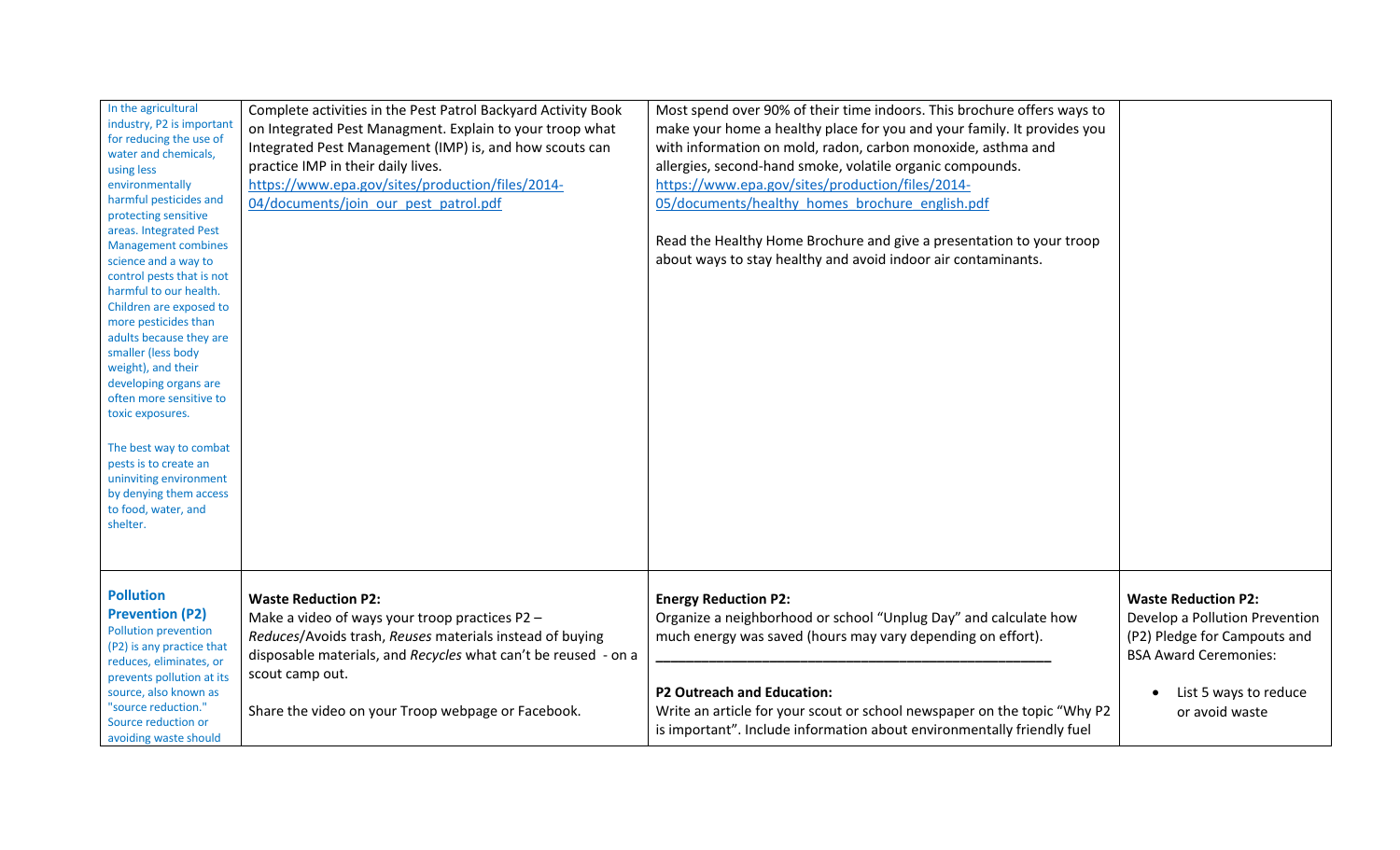| In the agricultural<br>industry, P2 is important<br>for reducing the use of<br>water and chemicals,<br>using less<br>environmentally<br>harmful pesticides and<br>protecting sensitive<br>areas. Integrated Pest<br><b>Management combines</b><br>science and a way to<br>control pests that is not<br>harmful to our health.<br>Children are exposed to<br>more pesticides than<br>adults because they are<br>smaller (less body<br>weight), and their<br>developing organs are<br>often more sensitive to<br>toxic exposures.<br>The best way to combat<br>pests is to create an<br>uninviting environment<br>by denying them access<br>to food, water, and<br>shelter. | Complete activities in the Pest Patrol Backyard Activity Book<br>on Integrated Pest Managment. Explain to your troop what<br>Integrated Pest Management (IMP) is, and how scouts can<br>practice IMP in their daily lives.<br>https://www.epa.gov/sites/production/files/2014-<br>04/documents/join our pest patrol.pdf | Most spend over 90% of their time indoors. This brochure offers ways to<br>make your home a healthy place for you and your family. It provides you<br>with information on mold, radon, carbon monoxide, asthma and<br>allergies, second-hand smoke, volatile organic compounds.<br>https://www.epa.gov/sites/production/files/2014-<br>05/documents/healthy homes brochure english.pdf<br>Read the Healthy Home Brochure and give a presentation to your troop<br>about ways to stay healthy and avoid indoor air contaminants. |                                                                                                                                                                         |
|---------------------------------------------------------------------------------------------------------------------------------------------------------------------------------------------------------------------------------------------------------------------------------------------------------------------------------------------------------------------------------------------------------------------------------------------------------------------------------------------------------------------------------------------------------------------------------------------------------------------------------------------------------------------------|-------------------------------------------------------------------------------------------------------------------------------------------------------------------------------------------------------------------------------------------------------------------------------------------------------------------------|---------------------------------------------------------------------------------------------------------------------------------------------------------------------------------------------------------------------------------------------------------------------------------------------------------------------------------------------------------------------------------------------------------------------------------------------------------------------------------------------------------------------------------|-------------------------------------------------------------------------------------------------------------------------------------------------------------------------|
| <b>Pollution</b><br><b>Prevention (P2)</b><br>Pollution prevention<br>(P2) is any practice that<br>reduces, eliminates, or<br>prevents pollution at its<br>source, also known as<br>"source reduction."<br>Source reduction or<br>avoiding waste should                                                                                                                                                                                                                                                                                                                                                                                                                   | <b>Waste Reduction P2:</b><br>Make a video of ways your troop practices P2 -<br>Reduces/Avoids trash, Reuses materials instead of buying<br>disposable materials, and Recycles what can't be reused - on a<br>scout camp out.<br>Share the video on your Troop webpage or Facebook.                                     | <b>Energy Reduction P2:</b><br>Organize a neighborhood or school "Unplug Day" and calculate how<br>much energy was saved (hours may vary depending on effort).<br><b>P2 Outreach and Education:</b><br>Write an article for your scout or school newspaper on the topic "Why P2<br>is important". Include information about environmentally friendly fuel                                                                                                                                                                       | <b>Waste Reduction P2:</b><br>Develop a Pollution Prevention<br>(P2) Pledge for Campouts and<br><b>BSA Award Ceremonies:</b><br>List 5 ways to reduce<br>or avoid waste |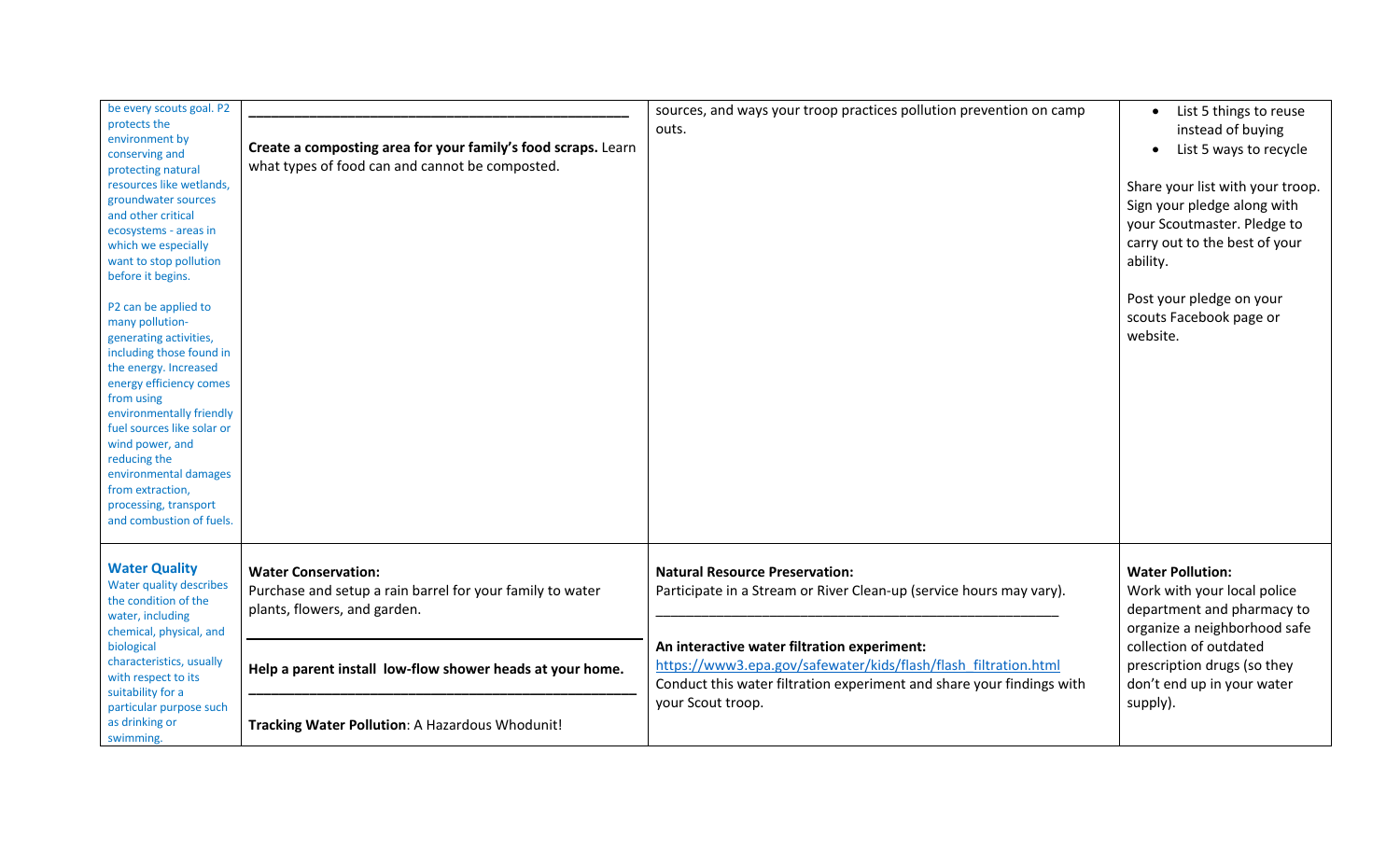| be every scouts goal. P2<br>protects the<br>environment by<br>conserving and<br>protecting natural<br>resources like wetlands,<br>groundwater sources<br>and other critical<br>ecosystems - areas in<br>which we especially<br>want to stop pollution<br>before it begins.<br>P2 can be applied to<br>many pollution-<br>generating activities,<br>including those found in<br>the energy. Increased<br>energy efficiency comes<br>from using<br>environmentally friendly<br>fuel sources like solar or<br>wind power, and<br>reducing the<br>environmental damages<br>from extraction,<br>processing, transport<br>and combustion of fuels. | Create a composting area for your family's food scraps. Learn<br>what types of food can and cannot be composted.        | sources, and ways your troop practices pollution prevention on camp<br>outs.                                                                                                                                 | List 5 things to reuse<br>$\bullet$<br>instead of buying<br>List 5 ways to recycle<br>Share your list with your troop.<br>Sign your pledge along with<br>your Scoutmaster. Pledge to<br>carry out to the best of your<br>ability.<br>Post your pledge on your<br>scouts Facebook page or<br>website. |
|----------------------------------------------------------------------------------------------------------------------------------------------------------------------------------------------------------------------------------------------------------------------------------------------------------------------------------------------------------------------------------------------------------------------------------------------------------------------------------------------------------------------------------------------------------------------------------------------------------------------------------------------|-------------------------------------------------------------------------------------------------------------------------|--------------------------------------------------------------------------------------------------------------------------------------------------------------------------------------------------------------|------------------------------------------------------------------------------------------------------------------------------------------------------------------------------------------------------------------------------------------------------------------------------------------------------|
| <b>Water Quality</b><br>Water quality describes<br>the condition of the<br>water, including                                                                                                                                                                                                                                                                                                                                                                                                                                                                                                                                                  | <b>Water Conservation:</b><br>Purchase and setup a rain barrel for your family to water<br>plants, flowers, and garden. | <b>Natural Resource Preservation:</b><br>Participate in a Stream or River Clean-up (service hours may vary).                                                                                                 | <b>Water Pollution:</b><br>Work with your local police<br>department and pharmacy to<br>organize a neighborhood safe                                                                                                                                                                                 |
| chemical, physical, and<br>biological<br>characteristics, usually<br>with respect to its<br>suitability for a<br>particular purpose such<br>as drinking or<br>swimming.                                                                                                                                                                                                                                                                                                                                                                                                                                                                      | Help a parent install low-flow shower heads at your home.                                                               | An interactive water filtration experiment:<br>https://www3.epa.gov/safewater/kids/flash/flash_filtration.html<br>Conduct this water filtration experiment and share your findings with<br>your Scout troop. | collection of outdated<br>prescription drugs (so they<br>don't end up in your water<br>supply).                                                                                                                                                                                                      |
|                                                                                                                                                                                                                                                                                                                                                                                                                                                                                                                                                                                                                                              | Tracking Water Pollution: A Hazardous Whodunit!                                                                         |                                                                                                                                                                                                              |                                                                                                                                                                                                                                                                                                      |